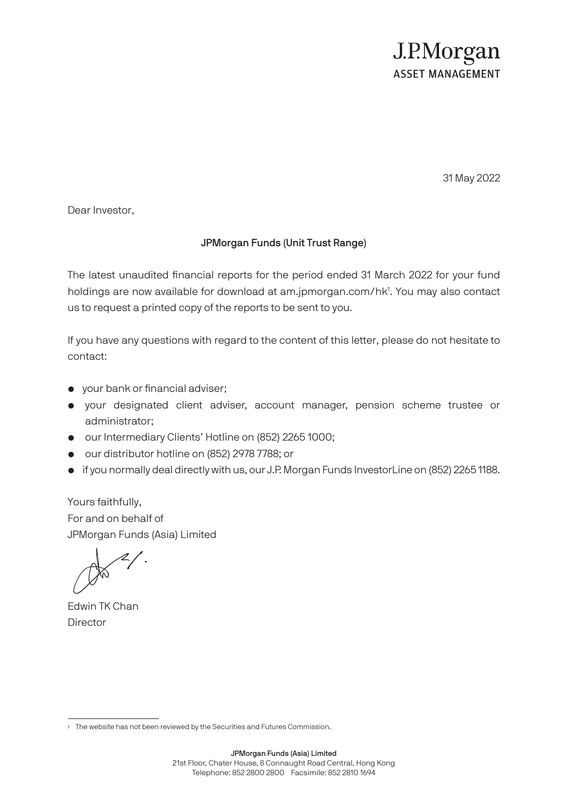## J.P.Morgan **ASSET MANAGEMENT**

31 May 2022

Dear Investor,

## JPMorgan Funds (Unit Trust Range)

The latest unaudited financial reports for the period ended 31 March 2022 for your fund holdings are now available for download at am.jpmorgan.com/hk<sup>1</sup>. You may also contact us to request a printed copy of the reports to be sent to you.

If you have any questions with regard to the content of this letter, please do not hesitate to contact:

- your bank or financial adviser;
- your designated client adviser, account manager, pension scheme trustee or administrator;
- our Intermediary Clients' Hotline on (852) 2265 1000;
- our distributor hotline on (852) 2978 7788; or
- if you normally deal directly with us, our J.P. Morgan Funds InvestorLine on (852) 2265 1188.

Yours faithfully, For and on behalf of JPMorgan Funds (Asia) Limited

Edwin TK Chan **Director** 

<sup>1</sup> The website has not been reviewed by the Securities and Futures Commission.